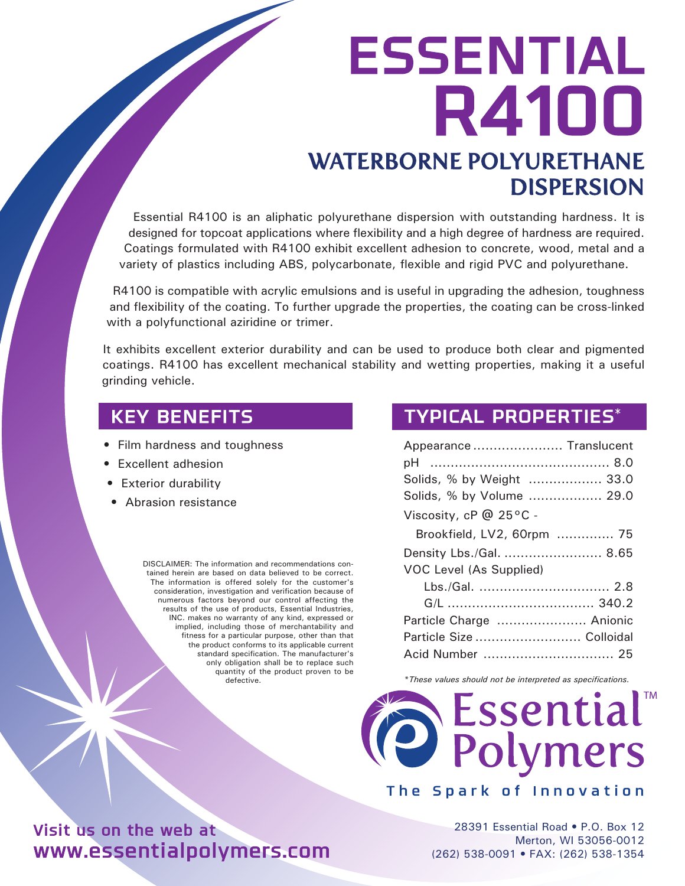# WATERBORNE POLYURETHANE ESSENTIAL R4100

DISPERSION

Essential R4100 is an aliphatic polyurethane dispersion with outstanding hardness. It is designed for topcoat applications where flexibility and a high degree of hardness are required. Coatings formulated with R4100 exhibit excellent adhesion to concrete, wood, metal and a variety of plastics including ABS, polycarbonate, flexible and rigid PVC and polyurethane.

R4100 is compatible with acrylic emulsions and is useful in upgrading the adhesion, toughness and flexibility of the coating. To further upgrade the properties, the coating can be cross-linked with a polyfunctional aziridine or trimer.

It exhibits excellent exterior durability and can be used to produce both clear and pigmented coatings. R4100 has excellent mechanical stability and wetting properties, making it a useful grinding vehicle.

- Film hardness and toughness
- Excellent adhesion
- Exterior durability
- Abrasion resistance

DISCLAIMER: The information and recommendations contained herein are based on data believed to be correct. The information is offered solely for the customer's consideration, investigation and verification because of numerous factors beyond our control affecting the results of the use of products, Essential Industries, INC. makes no warranty of any kind, expressed or implied, including those of merchantability and fitness for a particular purpose, other than that the product conforms to its applicable current standard specification. The manufacturer's only obligation shall be to replace such quantity of the product proven to be defective.

### KEY BENEFITS TYPICAL PROPERTIES\*

| Appearance  Translucent        |
|--------------------------------|
|                                |
| Solids, % by Weight  33.0      |
| Solids, % by Volume  29.0      |
| Viscosity, cP @ 25°C -         |
| Brookfield, LV2, 60rpm  75     |
| Density Lbs./Gal.  8.65        |
| <b>VOC Level (As Supplied)</b> |
|                                |
|                                |
| Particle Charge  Anionic       |
| Particle Size  Colloidal       |
|                                |

*\*These values should not be interpreted as specifications.*



The Spark of Innovation

28391 Essential Road • P.O. Box 12 Merton, WI 53056-0012 (262) 538-0091 • FAX: (262) 538-1354

# Visit us on the web at www.essentialpolymers.com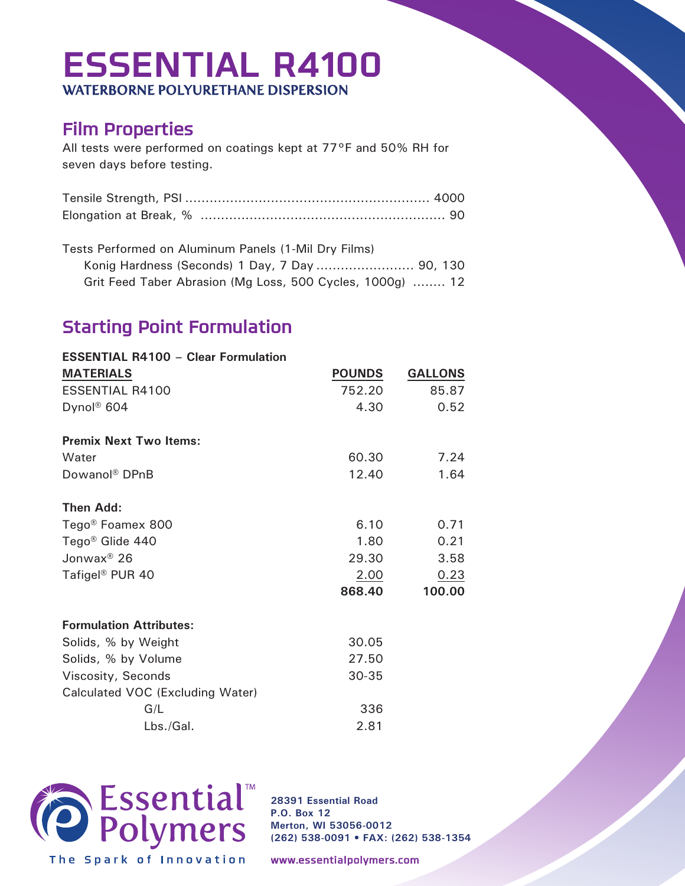# ESSENTIAL R4100 WATERBORNE POLYURETHANE DISPERSION

## Film Properties

All tests were performed on coatings kept at 77°F and 50% RH for seven days before testing.

Tests Performed on Aluminum Panels (1-Mil Dry Films) Konig Hardness (Seconds) 1 Day, 7 Day ........................ 90, 130 Grit Feed Taber Abrasion (Mg Loss, 500 Cycles, 1000g) ........ 12

# Starting Point Formulation

| <b>ESSENTIAL R4100 - Clear Formulation</b> |               |                |
|--------------------------------------------|---------------|----------------|
| <b>MATERIALS</b>                           | <b>POUNDS</b> | <b>GALLONS</b> |
| <b>ESSENTIAL R4100</b>                     | 752.20        | 85.87          |
| Dynol <sup>®</sup> 604                     | 4.30          | 0.52           |
| <b>Premix Next Two Items:</b>              |               |                |
| Water                                      | 60.30         | 7.24           |
| Dowanol <sup>®</sup> DPnB                  | 12.40         | 1.64           |
| <b>Then Add:</b>                           |               |                |
| Tego <sup>®</sup> Foamex 800               | 6.10          | 0.71           |
| Tego <sup>®</sup> Glide 440                | 1.80          | 0.21           |
| Jonwax <sup>®</sup> 26                     | 29.30         | 3.58           |
| Tafigel <sup>®</sup> PUR 40                | 2.00          | 0.23           |
|                                            | 868.40        | 100.00         |
| <b>Formulation Attributes:</b>             |               |                |
| Solids, % by Weight                        | 30.05         |                |
| Solids, % by Volume                        | 27.50         |                |
| Viscosity, Seconds                         | 30-35         |                |
| Calculated VOC (Excluding Water)           |               |                |
| G/L                                        | 336           |                |
| Lbs./Gal.                                  | 2.81          |                |



**28391 Essential Road P.O. Box 12 Merton, WI 53056-0012 (262) 538-0091 • FAX: (262) 538-1354**

www.essentialpolymers.com